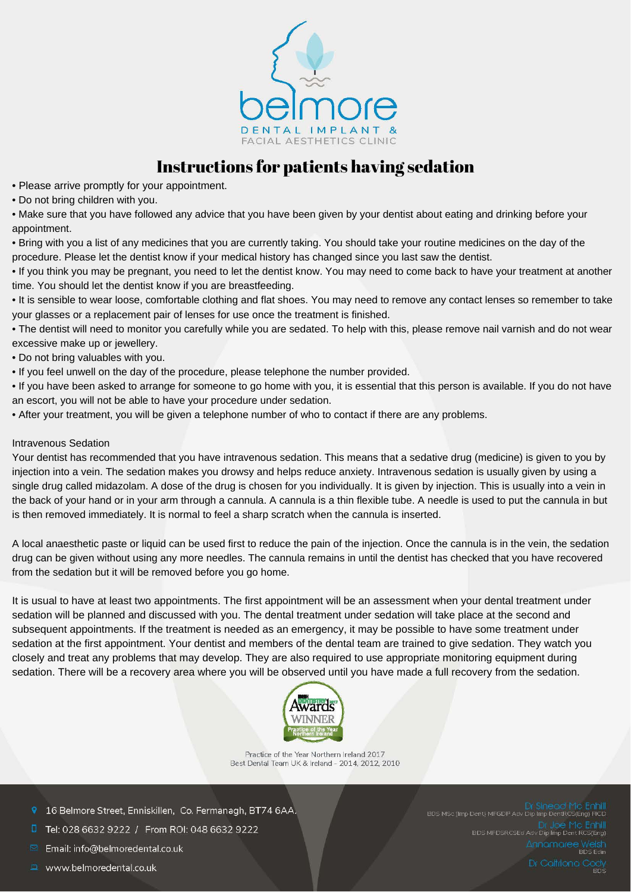

## Instructions for patients having sedation

• Please arrive promptly for your appointment.

• Do not bring children with you.

• Make sure that you have followed any advice that you have been given by your dentist about eating and drinking before your appointment.

• Bring with you a list of any medicines that you are currently taking. You should take your routine medicines on the day of the procedure. Please let the dentist know if your medical history has changed since you last saw the dentist.

• If you think you may be pregnant, you need to let the dentist know. You may need to come back to have your treatment at another time. You should let the dentist know if you are breastfeeding.

• It is sensible to wear loose, comfortable clothing and flat shoes. You may need to remove any contact lenses so remember to take your glasses or a replacement pair of lenses for use once the treatment is finished.

• The dentist will need to monitor you carefully while you are sedated. To help with this, please remove nail varnish and do not wear excessive make up or jewellery.

• Do not bring valuables with you.

• If you feel unwell on the day of the procedure, please telephone the number provided.

• If you have been asked to arrange for someone to go home with you, it is essential that this person is available. If you do not have an escort, you will not be able to have your procedure under sedation.

• After your treatment, you will be given a telephone number of who to contact if there are any problems.

## Intravenous Sedation

Your dentist has recommended that you have intravenous sedation. This means that a sedative drug (medicine) is given to you by injection into a vein. The sedation makes you drowsy and helps reduce anxiety. Intravenous sedation is usually given by using a single drug called midazolam. A dose of the drug is chosen for you individually. It is given by injection. This is usually into a vein in the back of your hand or in your arm through a cannula. A cannula is a thin flexible tube. A needle is used to put the cannula in but is then removed immediately. It is normal to feel a sharp scratch when the cannula is inserted.

A local anaesthetic paste or liquid can be used first to reduce the pain of the injection. Once the cannula is in the vein, the sedation drug can be given without using any more needles. The cannula remains in until the dentist has checked that you have recovered from the sedation but it will be removed before you go home.

It is usual to have at least two appointments. The first appointment will be an assessment when your dental treatment under sedation will be planned and discussed with you. The dental treatment under sedation will take place at the second and subsequent appointments. If the treatment is needed as an emergency, it may be possible to have some treatment under sedation at the first appointment. Your dentist and members of the dental team are trained to give sedation. They watch you closely and treat any problems that may develop. They are also required to use appropriate monitoring equipment during sedation. There will be a recovery area where you will be observed until you have made a full recovery from the sedation.



Practice of the Year Northern Ireland 2017 Best Dental Team UK & Ireland - 2014, 2012, 2010

- 9 16 Belmore Street, Enniskillen, Co. Fermanagh, BT74 6AA.
- Tel: 028 6632 9222 / From ROI: 048 6632 9222
- Email: info@belmoredental.co.uk
- www.belmoredental.co.uk

DE TTC<br>BDS MFDSRCSEd Adv Dip Imp Dent R Annomaree Wels<br>Annomaree Wels Dr Caltriona Cody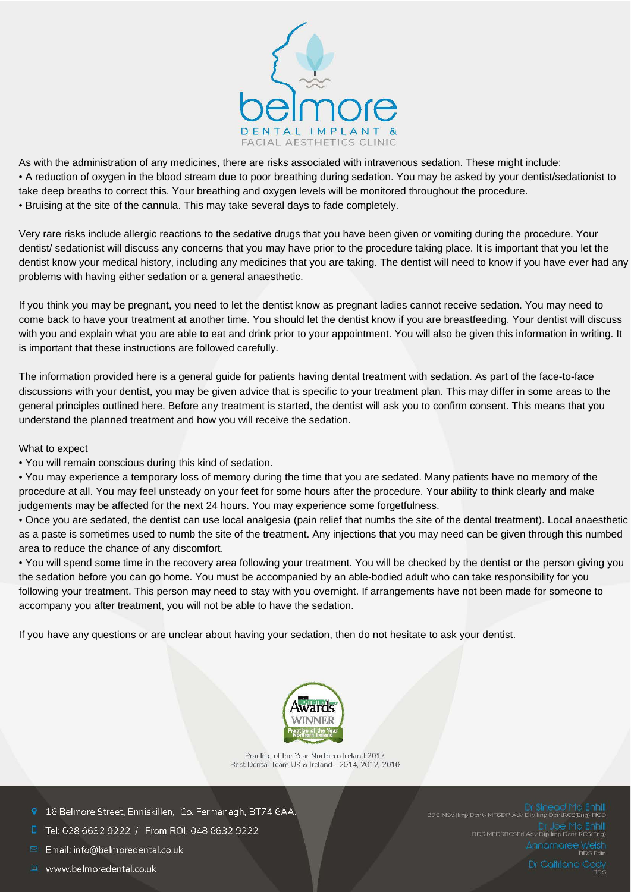

As with the administration of any medicines, there are risks associated with intravenous sedation. These might include: • A reduction of oxygen in the blood stream due to poor breathing during sedation. You may be asked by your dentist/sedationist to take deep breaths to correct this. Your breathing and oxygen levels will be monitored throughout the procedure. • Bruising at the site of the cannula. This may take several days to fade completely.

Very rare risks include allergic reactions to the sedative drugs that you have been given or vomiting during the procedure. Your dentist/ sedationist will discuss any concerns that you may have prior to the procedure taking place. It is important that you let the dentist know your medical history, including any medicines that you are taking. The dentist will need to know if you have ever had any problems with having either sedation or a general anaesthetic.

If you think you may be pregnant, you need to let the dentist know as pregnant ladies cannot receive sedation. You may need to come back to have your treatment at another time. You should let the dentist know if you are breastfeeding. Your dentist will discuss with you and explain what you are able to eat and drink prior to your appointment. You will also be given this information in writing. It is important that these instructions are followed carefully.

The information provided here is a general guide for patients having dental treatment with sedation. As part of the face-to-face discussions with your dentist, you may be given advice that is specific to your treatment plan. This may differ in some areas to the general principles outlined here. Before any treatment is started, the dentist will ask you to confirm consent. This means that you understand the planned treatment and how you will receive the sedation.

What to expect

• You will remain conscious during this kind of sedation.

• You may experience a temporary loss of memory during the time that you are sedated. Many patients have no memory of the procedure at all. You may feel unsteady on your feet for some hours after the procedure. Your ability to think clearly and make judgements may be affected for the next 24 hours. You may experience some forgetfulness.

• Once you are sedated, the dentist can use local analgesia (pain relief that numbs the site of the dental treatment). Local anaesthetic as a paste is sometimes used to numb the site of the treatment. Any injections that you may need can be given through this numbed area to reduce the chance of any discomfort.

• You will spend some time in the recovery area following your treatment. You will be checked by the dentist or the person giving you the sedation before you can go home. You must be accompanied by an able-bodied adult who can take responsibility for you following your treatment. This person may need to stay with you overnight. If arrangements have not been made for someone to accompany you after treatment, you will not be able to have the sedation.

If you have any questions or are unclear about having your sedation, then do not hesitate to ask your dentist.



Practice of the Year Northern Ireland 2017 Best Dental Team UK & Ireland - 2014, 2012, 2010

- 9 16 Belmore Street, Enniskillen, Co. Fermanagh, BT74 6AA.
- Tel: 028 6632 9222 / From ROI: 048 6632 9222
- Email: info@belmoredental.co.uk
- www.belmoredental.co.uk

Dr Sinead |<br>BDS MSc (Imp Dent) MFGDP Adv Dip Imp DentRC Dr JO<del>C</del> I<sup>V</sup>IC<br>BDS MFDSRCSEd Adv Dip Imp Dent I